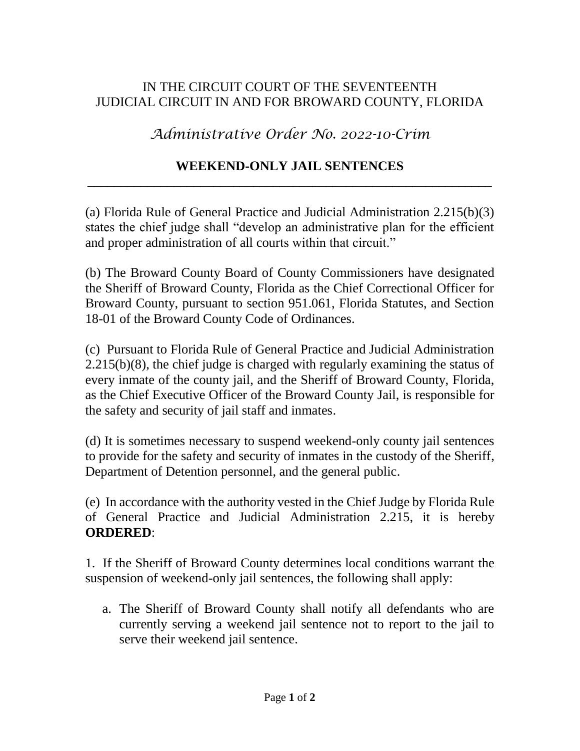## IN THE CIRCUIT COURT OF THE SEVENTEENTH JUDICIAL CIRCUIT IN AND FOR BROWARD COUNTY, FLORIDA

*Administrative Order No. 2022-10-Crim*

## **WEEKEND-ONLY JAIL SENTENCES** \_\_\_\_\_\_\_\_\_\_\_\_\_\_\_\_\_\_\_\_\_\_\_\_\_\_\_\_\_\_\_\_\_\_\_\_\_\_\_\_\_\_\_\_\_\_\_\_\_\_\_\_\_\_\_\_\_\_\_\_\_

(a) Florida Rule of General Practice and Judicial Administration 2.215(b)(3) states the chief judge shall "develop an administrative plan for the efficient and proper administration of all courts within that circuit."

(b) The Broward County Board of County Commissioners have designated the Sheriff of Broward County, Florida as the Chief Correctional Officer for Broward County, pursuant to section 951.061, Florida Statutes, and Section 18-01 of the Broward County Code of Ordinances.

(c) Pursuant to Florida Rule of General Practice and Judicial Administration 2.215(b)(8), the chief judge is charged with regularly examining the status of every inmate of the county jail, and the Sheriff of Broward County, Florida, as the Chief Executive Officer of the Broward County Jail, is responsible for the safety and security of jail staff and inmates.

(d) It is sometimes necessary to suspend weekend-only county jail sentences to provide for the safety and security of inmates in the custody of the Sheriff, Department of Detention personnel, and the general public.

(e) In accordance with the authority vested in the Chief Judge by Florida Rule of General Practice and Judicial Administration 2.215, it is hereby **ORDERED**:

1. If the Sheriff of Broward County determines local conditions warrant the suspension of weekend-only jail sentences, the following shall apply:

a. The Sheriff of Broward County shall notify all defendants who are currently serving a weekend jail sentence not to report to the jail to serve their weekend jail sentence.